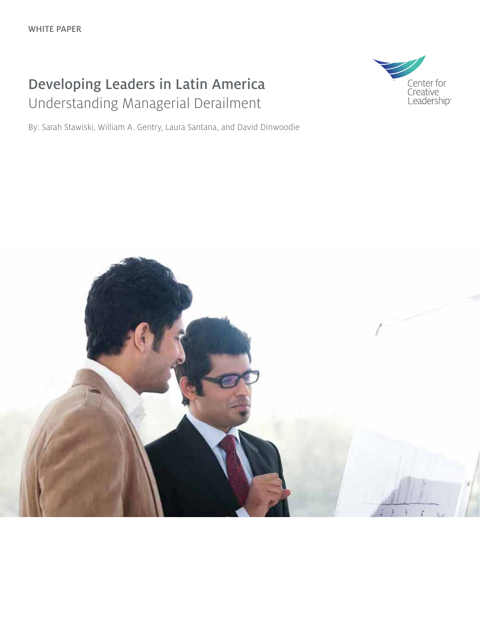### Developing Leaders in Latin America Understanding Managerial Derailment

By: Sarah Stawiski, William A. Gentry, Laura Santana, and David Dinwoodie



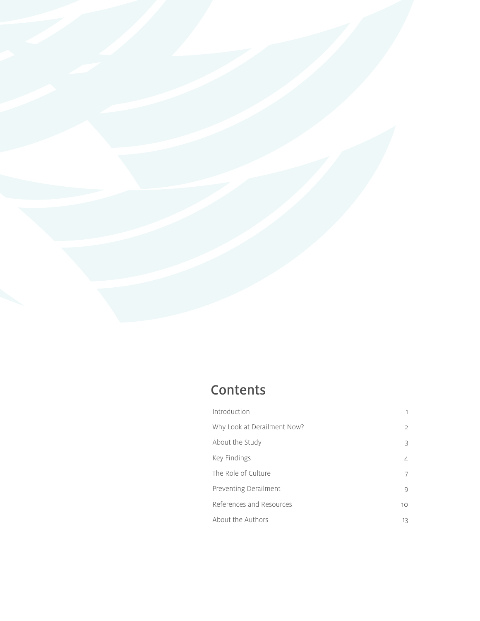

### **Contents**

| Introduction                |               |
|-----------------------------|---------------|
| Why Look at Derailment Now? | $\mathcal{L}$ |
| About the Study             | 3             |
| Key Findings                | 4             |
| The Role of Culture         |               |
| Preventing Derailment       | 9             |
| References and Resources    | 10            |
| About the Authors           | 13            |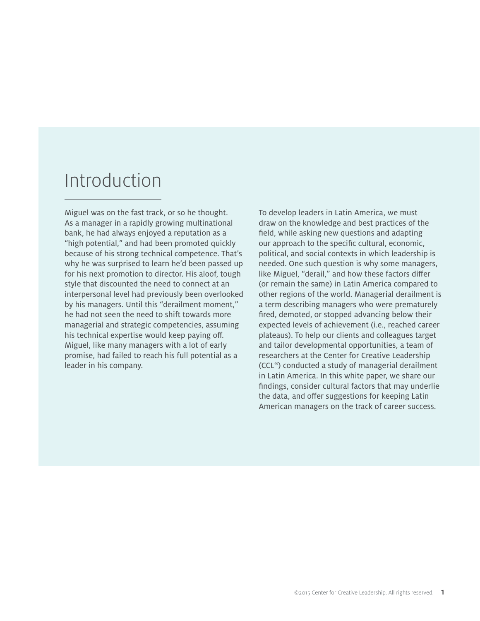### Introduction

Miguel was on the fast track, or so he thought. As a manager in a rapidly growing multinational bank, he had always enjoyed a reputation as a "high potential," and had been promoted quickly because of his strong technical competence. That's why he was surprised to learn he'd been passed up for his next promotion to director. His aloof, tough style that discounted the need to connect at an interpersonal level had previously been overlooked by his managers. Until this "derailment moment," he had not seen the need to shift towards more managerial and strategic competencies, assuming his technical expertise would keep paying off. Miguel, like many managers with a lot of early promise, had failed to reach his full potential as a leader in his company.

To develop leaders in Latin America, we must draw on the knowledge and best practices of the field, while asking new questions and adapting our approach to the specific cultural, economic, political, and social contexts in which leadership is needed. One such question is why some managers, like Miguel, "derail," and how these factors differ (or remain the same) in Latin America compared to other regions of the world. Managerial derailment is a term describing managers who were prematurely fired, demoted, or stopped advancing below their expected levels of achievement (i.e., reached career plateaus). To help our clients and colleagues target and tailor developmental opportunities, a team of researchers at the Center for Creative Leadership (CCL®) conducted a study of managerial derailment in Latin America. In this white paper, we share our findings, consider cultural factors that may underlie the data, and offer suggestions for keeping Latin American managers on the track of career success.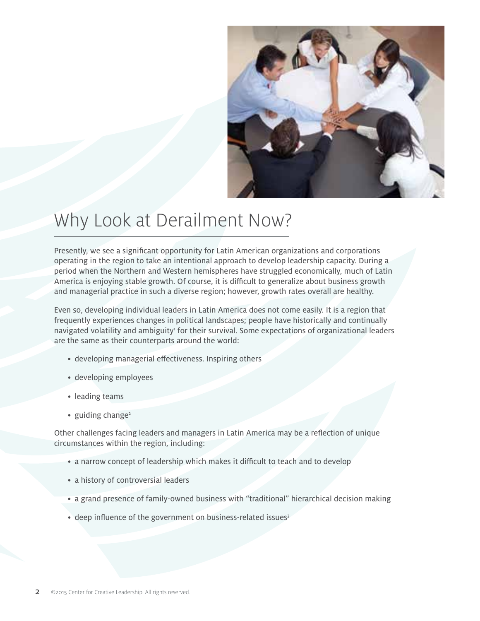

## Why Look at Derailment Now?

Presently, we see a significant opportunity for Latin American organizations and corporations operating in the region to take an intentional approach to develop leadership capacity. During a period when the Northern and Western hemispheres have struggled economically, much of Latin America is enjoying stable growth. Of course, it is difficult to generalize about business growth and managerial practice in such a diverse region; however, growth rates overall are healthy.

Even so, developing individual leaders in Latin America does not come easily. It is a region that frequently experiences changes in political landscapes; people have historically and continually navigated volatility and ambiguity' for their survival. Some expectations of organizational leaders are the same as their counterparts around the world:

- developing managerial effectiveness. Inspiring others
- developing employees
- leading teams
- guiding change<sup>2</sup>

Other challenges facing leaders and managers in Latin America may be a reflection of unique circumstances within the region, including:

- a narrow concept of leadership which makes it difficult to teach and to develop
- a history of controversial leaders
- a grand presence of family-owned business with "traditional" hierarchical decision making
- deep influence of the government on business-related issues<sup>3</sup>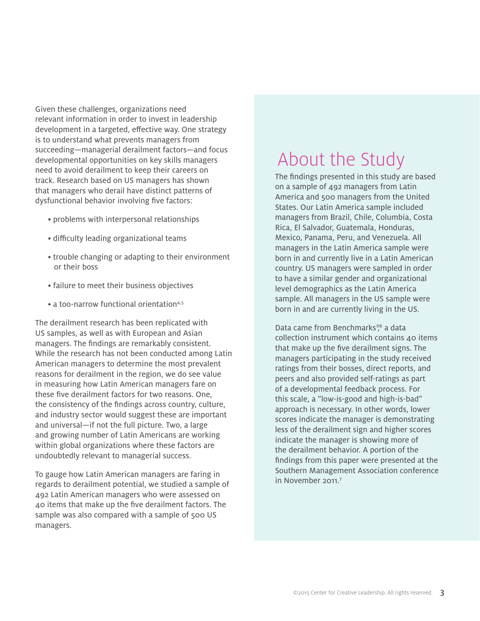Given these challenges, organizations need relevant information in order to invest in leadership development in a targeted, effective way. One strategy is to understand what prevents managers from succeeding—managerial derailment factors—and focus developmental opportunities on key skills managers need to avoid derailment to keep their careers on track. Research based on US managers has shown that managers who derail have distinct patterns of dysfunctional behavior involving five factors:

- problems with interpersonal relationships
- difficulty leading organizational teams
- trouble changing or adapting to their environment or their boss
- failure to meet their business objectives
- a too-narrow functional orientation<sup>4,5</sup>

The derailment research has been replicated with US samples, as well as with European and Asian managers. The findings are remarkably consistent. While the research has not been conducted among Latin American managers to determine the most prevalent reasons for derailment in the region, we do see value in measuring how Latin American managers fare on these five derailment factors for two reasons. One, the consistency of the findings across country, culture, and industry sector would suggest these are important and universal—if not the full picture. Two, a large and growing number of Latin Americans are working within global organizations where these factors are undoubtedly relevant to managerial success.

To gauge how Latin American managers are faring in regards to derailment potential, we studied a sample of 492 Latin American managers who were assessed on 40 items that make up the five derailment factors. The sample was also compared with a sample of 500 US managers.

## About the Study

The findings presented in this study are based on a sample of 492 managers from Latin America and 500 managers from the United States. Our Latin America sample included managers from Brazil, Chile, Columbia, Costa Rica, El Salvador, Guatemala, Honduras, Mexico, Panama, Peru, and Venezuela. All managers in the Latin America sample were born in and currently live in a Latin American country. US managers were sampled in order to have a similar gender and organizational level demographics as the Latin America sample. All managers in the US sample were born in and are currently living in the US.

Data came from Benchmarks<sup>®6</sup> a data collection instrument which contains 40 items that make up the five derailment signs. The managers participating in the study received ratings from their bosses, direct reports, and peers and also provided self-ratings as part of a developmental feedback process. For this scale, a "low-is-good and high-is-bad" approach is necessary. In other words, lower scores indicate the manager is demonstrating less of the derailment sign and higher scores indicate the manager is showing more of the derailment behavior. A portion of the findings from this paper were presented at the Southern Management Association conference in November 2011.<sup>7</sup>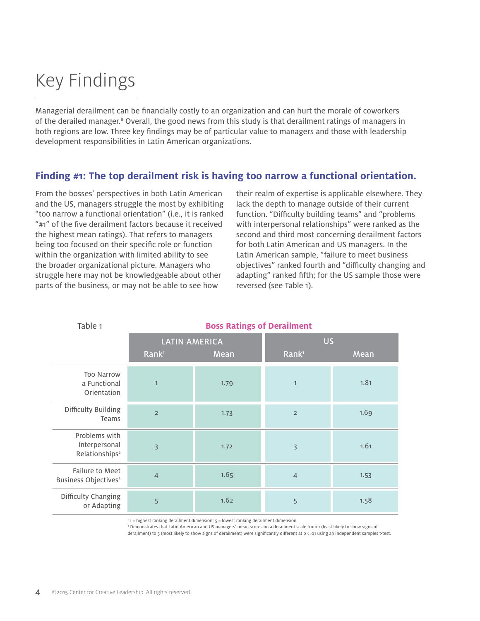# Key Findings

Managerial derailment can be financially costly to an organization and can hurt the morale of coworkers of the derailed manager.<sup>8</sup> Overall, the good news from this study is that derailment ratings of managers in both regions are low. Three key findings may be of particular value to managers and those with leadership development responsibilities in Latin American organizations.

#### **Finding #1: The top derailment risk is having too narrow a functional orientation.**

From the bosses' perspectives in both Latin American and the US, managers struggle the most by exhibiting "too narrow a functional orientation" (i.e., it is ranked "#1" of the five derailment factors because it received the highest mean ratings). That refers to managers being too focused on their specific role or function within the organization with limited ability to see the broader organizational picture. Managers who struggle here may not be knowledgeable about other parts of the business, or may not be able to see how

their realm of expertise is applicable elsewhere. They lack the depth to manage outside of their current function. "Difficulty building teams" and "problems with interpersonal relationships" were ranked as the second and third most concerning derailment factors for both Latin American and US managers. In the Latin American sample, "failure to meet business objectives" ranked fourth and "difficulty changing and adapting" ranked fifth; for the US sample those were reversed (see Table 1).

| Table 1                                                      | <b>Boss Ratings of Derailment</b> |      |                   |      |  |
|--------------------------------------------------------------|-----------------------------------|------|-------------------|------|--|
|                                                              | <b>LATIN AMERICA</b>              |      | <b>US</b>         |      |  |
|                                                              | Rank <sup>1</sup>                 | Mean | Rank <sup>1</sup> | Mean |  |
| Too Narrow<br>a Functional<br>Orientation                    | $\mathbf{1}$                      | 1.79 | $\mathbf{1}$      | 1.81 |  |
| Difficulty Building<br><b>Teams</b>                          | $\overline{2}$                    | 1.73 | $\overline{2}$    | 1.69 |  |
| Problems with<br>Interpersonal<br>Relationships <sup>2</sup> | $\overline{3}$                    | 1.72 | $\overline{3}$    | 1.61 |  |
| Failure to Meet<br>Business Objectives <sup>2</sup>          | $\overline{4}$                    | 1.65 | $\overline{4}$    | 1.53 |  |
| Difficulty Changing<br>or Adapting                           | 5                                 | 1.62 | 5                 | 1.58 |  |

1 = highest ranking derailment dimension; 5 = lowest ranking derailment dimension.

2 Demonstrates that Latin American and US managers' mean scores on a derailment scale from 1 (least likely to show signs of derailment) to 5 (most likely to show signs of derailment) were significantly different at p < .01 using an independent samples t-test.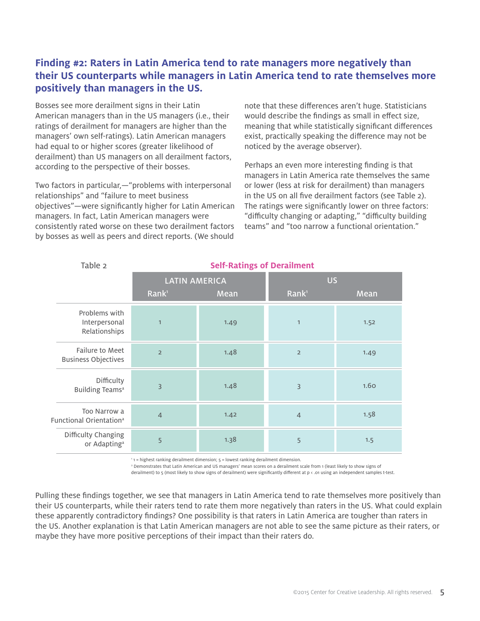#### **Finding #2: Raters in Latin America tend to rate managers more negatively than their US counterparts while managers in Latin America tend to rate themselves more positively than managers in the US.**

Bosses see more derailment signs in their Latin American managers than in the US managers (i.e., their ratings of derailment for managers are higher than the managers' own self-ratings). Latin American managers had equal to or higher scores (greater likelihood of derailment) than US managers on all derailment factors, according to the perspective of their bosses.

Two factors in particular,—"problems with interpersonal relationships" and "failure to meet business objectives"—were significantly higher for Latin American managers. In fact, Latin American managers were consistently rated worse on these two derailment factors by bosses as well as peers and direct reports. (We should

note that these differences aren't huge. Statisticians would describe the findings as small in effect size, meaning that while statistically significant differences exist, practically speaking the difference may not be noticed by the average observer).

Perhaps an even more interesting finding is that managers in Latin America rate themselves the same or lower (less at risk for derailment) than managers in the US on all five derailment factors (see Table 2). The ratings were significantly lower on three factors: "difficulty changing or adapting," "difficulty building teams" and "too narrow a functional orientation."

| Table 2                                             | <b>Self-Ratings of Derailment</b> |      |                   |      |
|-----------------------------------------------------|-----------------------------------|------|-------------------|------|
|                                                     | <b>LATIN AMERICA</b>              |      | <b>US</b>         |      |
|                                                     | Rank <sup>1</sup>                 | Mean | Rank <sup>1</sup> | Mean |
| Problems with<br>Interpersonal<br>Relationships     | $\overline{1}$                    | 1.49 | $\mathbf{1}$      | 1.52 |
| Failure to Meet<br><b>Business Objectives</b>       | $\overline{2}$                    | 1.48 | $\overline{2}$    | 1.49 |
| Difficulty<br>Building Teams <sup>a</sup>           | 3                                 | 1.48 | 3                 | 1.60 |
| Too Narrow a<br>Functional Orientation <sup>a</sup> | $\overline{4}$                    | 1.42 | $\overline{4}$    | 1.58 |
| Difficulty Changing<br>or Adapting <sup>a</sup>     | 5                                 | 1.38 | 5                 | 1.5  |

<sup>1</sup> 1 = highest ranking derailment dimension; 5 = lowest ranking derailment dimension.

2 Demonstrates that Latin American and US managers' mean scores on a derailment scale from 1 (least likely to show signs of derailment) to 5 (most likely to show signs of derailment) were significantly different at p < .01 using an independent samples t-test.

Pulling these findings together, we see that managers in Latin America tend to rate themselves more positively than their US counterparts, while their raters tend to rate them more negatively than raters in the US. What could explain these apparently contradictory findings? One possibility is that raters in Latin America are tougher than raters in the US. Another explanation is that Latin American managers are not able to see the same picture as their raters, or maybe they have more positive perceptions of their impact than their raters do.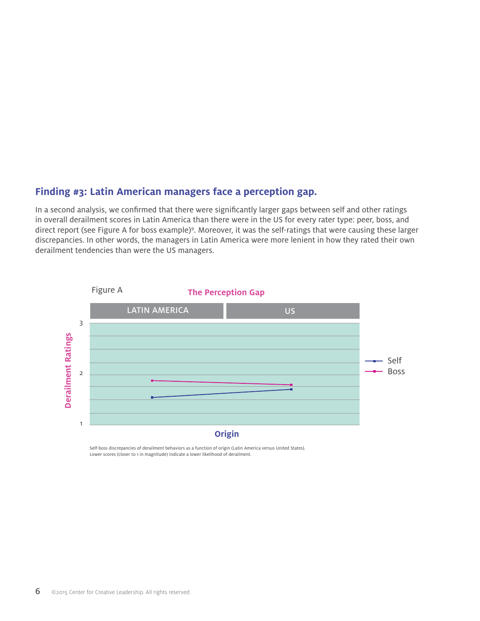#### **Finding #3: Latin American managers face a perception gap.**

In a second analysis, we confirmed that there were significantly larger gaps between self and other ratings in overall derailment scores in Latin America than there were in the US for every rater type: peer, boss, and direct report (see Figure A for boss example)<sup>9</sup>. Moreover, it was the self-ratings that were causing these larger discrepancies. In other words, the managers in Latin America were more lenient in how they rated their own derailment tendencies than were the US managers.



Self-boss discrepancies of derailment behaviors as a function of origin (Latin America versus United States). Lower scores (closer to 1 in magnitude) indicate a lower likelihood of derailment.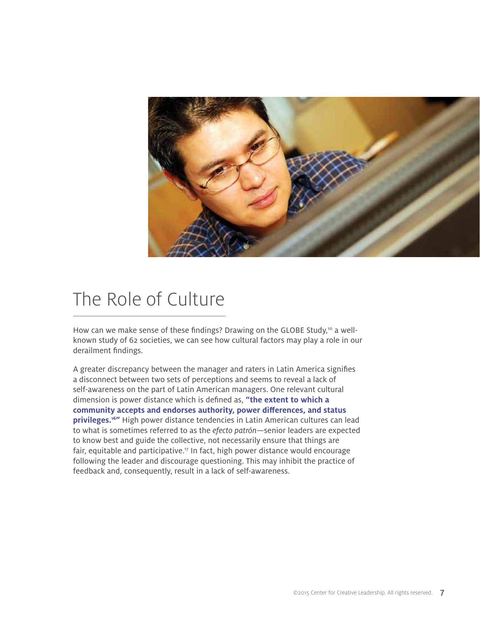

## The Role of Culture

How can we make sense of these findings? Drawing on the GLOBE Study,<sup>10</sup> a wellknown study of 62 societies, we can see how cultural factors may play a role in our derailment findings.

A greater discrepancy between the manager and raters in Latin America signifies a disconnect between two sets of perceptions and seems to reveal a lack of self-awareness on the part of Latin American managers. One relevant cultural dimension is power distance which is defined as, **"the extent to which a community accepts and endorses authority, power differences, and status privileges.16"** High power distance tendencies in Latin American cultures can lead to what is sometimes referred to as the *efecto patrón*—senior leaders are expected to know best and guide the collective, not necessarily ensure that things are fair, equitable and participative.<sup>17</sup> In fact, high power distance would encourage following the leader and discourage questioning. This may inhibit the practice of feedback and, consequently, result in a lack of self-awareness.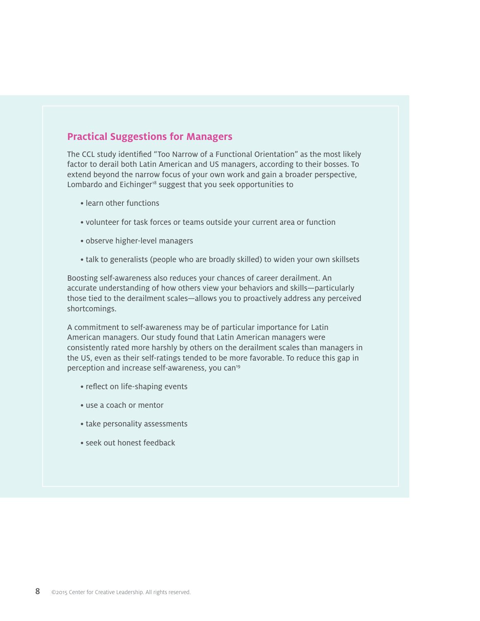#### **Practical Suggestions for Managers**

The CCL study identified "Too Narrow of a Functional Orientation" as the most likely factor to derail both Latin American and US managers, according to their bosses. To extend beyond the narrow focus of your own work and gain a broader perspective, Lombardo and Eichinger<sup>18</sup> suggest that you seek opportunities to

- learn other functions
- volunteer for task forces or teams outside your current area or function
- observe higher-level managers
- talk to generalists (people who are broadly skilled) to widen your own skillsets

Boosting self-awareness also reduces your chances of career derailment. An accurate understanding of how others view your behaviors and skills—particularly those tied to the derailment scales—allows you to proactively address any perceived shortcomings.

A commitment to self-awareness may be of particular importance for Latin American managers. Our study found that Latin American managers were consistently rated more harshly by others on the derailment scales than managers in the US, even as their self-ratings tended to be more favorable. To reduce this gap in perception and increase self-awareness, you can<sup>19</sup>

- reflect on life-shaping events
- use a coach or mentor
- take personality assessments
- seek out honest feedback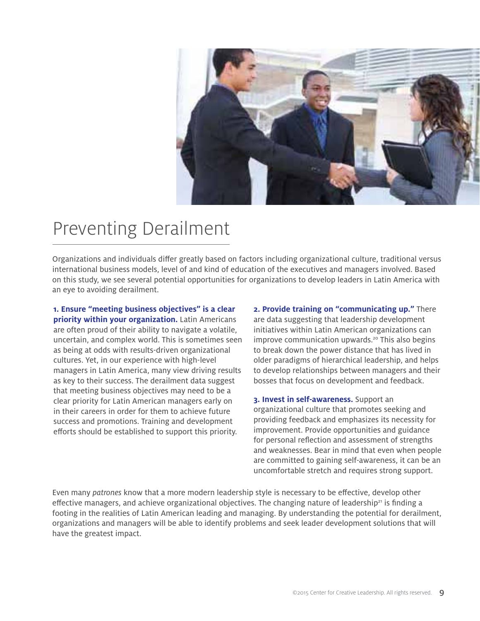

## Preventing Derailment

Organizations and individuals differ greatly based on factors including organizational culture, traditional versus international business models, level of and kind of education of the executives and managers involved. Based on this study, we see several potential opportunities for organizations to develop leaders in Latin America with an eye to avoiding derailment.

**1. Ensure "meeting business objectives" is a clear priority within your organization.** Latin Americans are often proud of their ability to navigate a volatile, uncertain, and complex world. This is sometimes seen as being at odds with results-driven organizational cultures. Yet, in our experience with high-level managers in Latin America, many view driving results as key to their success. The derailment data suggest that meeting business objectives may need to be a clear priority for Latin American managers early on in their careers in order for them to achieve future success and promotions. Training and development efforts should be established to support this priority.

**2. Provide training on "communicating up."** There are data suggesting that leadership development initiatives within Latin American organizations can improve communication upwards.<sup>20</sup> This also begins to break down the power distance that has lived in older paradigms of hierarchical leadership, and helps to develop relationships between managers and their bosses that focus on development and feedback.

**3. Invest in self-awareness.** Support an organizational culture that promotes seeking and providing feedback and emphasizes its necessity for improvement. Provide opportunities and guidance for personal reflection and assessment of strengths and weaknesses. Bear in mind that even when people are committed to gaining self-awareness, it can be an uncomfortable stretch and requires strong support.

Even many *patrones* know that a more modern leadership style is necessary to be effective, develop other effective managers, and achieve organizational objectives. The changing nature of leadership<sup>21</sup> is finding a footing in the realities of Latin American leading and managing. By understanding the potential for derailment, organizations and managers will be able to identify problems and seek leader development solutions that will have the greatest impact.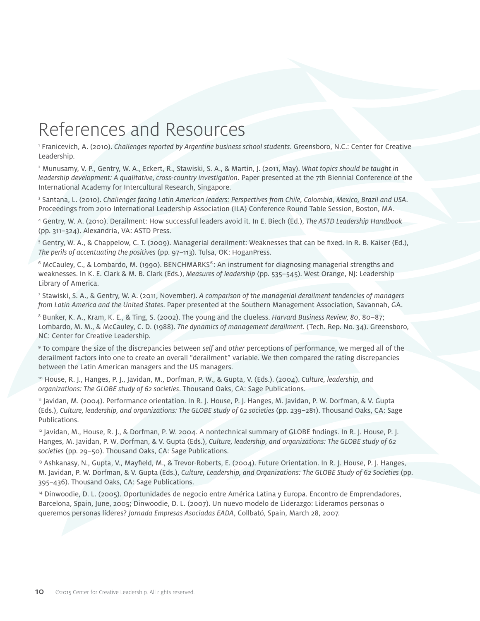## References and Resources

1 Franicevich, A. (2010). *Challenges reported by Argentine business school students*. Greensboro, N.C.: Center for Creative Leadership.

2 Munusamy, V. P., Gentry, W. A., Eckert, R., Stawiski, S. A., & Martin, J. (2011, May). *What topics should be taught in leadership development: A qualitative, cross-country investigation*. Paper presented at the 7th Biennial Conference of the International Academy for Intercultural Research, Singapore.

3 Santana, L. (2010). *Challenges facing Latin American leaders: Perspectives from Chile, Colombia, Mexico, Brazil and USA*. Proceedings from 2010 International Leadership Association (ILA) Conference Round Table Session, Boston, MA.

4 Gentry, W. A. (2010). Derailment: How successful leaders avoid it. In E. Biech (Ed.), *The ASTD Leadership Handbook* (pp. 311–324). Alexandria, VA: ASTD Press.

5 Gentry, W. A., & Chappelow, C. T. (2009). Managerial derailment: Weaknesses that can be fixed. In R. B. Kaiser (Ed.), *The perils of accentuating the positives* (pp. 97–113). Tulsa, OK: HoganPress.

6 McCauley, C., & Lombardo, M. (1990). BENCHMARKS®: An instrument for diagnosing managerial strengths and weaknesses. In K. E. Clark & M. B. Clark (Eds.), *Measures of leadership* (pp. 535–545). West Orange, NJ: Leadership Library of America.

7 Stawiski, S. A., & Gentry, W. A. (2011, November). *A comparison of the managerial derailment tendencies of managers from Latin America and the United States*. Paper presented at the Southern Management Association, Savannah, GA.

8 Bunker, K. A., Kram, K. E., & Ting, S. (2002). The young and the clueless. *Harvard Business Review, 80*, 80–87; Lombardo, M. M., & McCauley, C. D. (1988). *The dynamics of management derailment*. (Tech. Rep. No. 34). Greensboro, NC: Center for Creative Leadership.

9 To compare the size of the discrepancies between *self* and *other* perceptions of performance, we merged all of the derailment factors into one to create an overall "derailment" variable. We then compared the rating discrepancies between the Latin American managers and the US managers.

10 House, R. J., Hanges, P. J., Javidan, M., Dorfman, P. W., & Gupta, V. (Eds.). (2004). *Culture, leadership, and organizations: The GLOBE study of 62 societies*. Thousand Oaks, CA: Sage Publications.

11 Javidan, M. (2004). Performance orientation. In R. J. House, P. J. Hanges, M. Javidan, P. W. Dorfman, & V. Gupta (Eds.), *Culture, leadership, and organizations: The GLOBE study of 62 societies* (pp. 239–281). Thousand Oaks, CA: Sage Publications.

 $12$  Javidan, M., House, R. J., & Dorfman, P. W. 2004. A nontechnical summary of GLOBE findings. In R. J. House, P. J. Hanges, M. Javidan, P. W. Dorfman, & V. Gupta (Eds.), *Culture, leadership, and organizations: The GLOBE study of 62 societies* (pp. 29–50). Thousand Oaks, CA: Sage Publications.

<sup>13</sup> Ashkanasy, N., Gupta, V., Mayfield, M., & Trevor-Roberts, E. (2004). Future Orientation. In R. J. House, P. J. Hanges, M. Javidan, P. W. Dorfman, & V. Gupta (Eds.), *Culture, Leadership, and Organizations: The GLOBE Study of 62 Societies* (pp. 395–436). Thousand Oaks, CA: Sage Publications.

14 Dinwoodie, D. L. (2005). Oportunidades de negocio entre América Latina y Europa. Encontro de Emprendadores, Barcelona, Spain, June, 2005; Dinwoodie, D. L. (2007). Un nuevo modelo de Liderazgo: Lideramos personas o queremos personas líderes? *Jornada Empresas Asociadas EADA*, Collbató, Spain, March 28, 2007.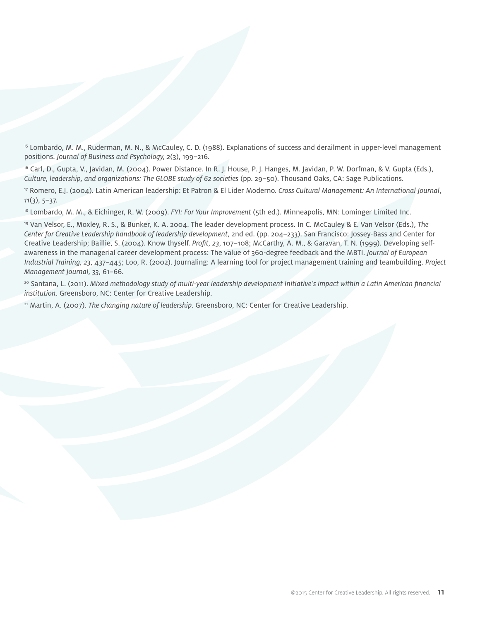15 Lombardo, M. M., Ruderman, M. N., & McCauley, C. D. (1988). Explanations of success and derailment in upper-level management positions. *Journal of Business and Psychology, 2*(3), 199–216.

16 Carl, D., Gupta, V., Javidan, M. (2004). Power Distance. In R. J. House, P. J. Hanges, M. Javidan, P. W. Dorfman, & V. Gupta (Eds.), *Culture, leadership, and organizations: The GLOBE study of 62 societies* (pp. 29–50). Thousand Oaks, CA: Sage Publications.

17 Romero, E.J. (2004). Latin American leadership: Et Patron & El Lider Moderno. *Cross Cultural Management: An International Journal*, *11*(3), 5–37.

18 Lombardo, M. M., & Eichinger, R. W. (2009). *FYI: For Your Improvement* (5th ed.). Minneapolis, MN: Lominger Limited Inc.

19 Van Velsor, E., Moxley, R. S., & Bunker, K. A. 2004. The leader development process. In C. McCauley & E. Van Velsor (Eds.), *The Center for Creative Leadership handbook of leadership development*, 2nd ed. (pp. 204–233). San Francisco: Jossey-Bass and Center for Creative Leadership; Baillie, S. (2004). Know thyself. *Profit, 23*, 107–108; McCarthy, A. M., & Garavan, T. N. (1999). Developing selfawareness in the managerial career development process: The value of 360-degree feedback and the MBTI. *Journal of European Industrial Training, 23*, 437–445; Loo, R. (2002). Journaling: A learning tool for project management training and teambuilding. *Project Management Journal, 33*, 61–66.

20 Santana, L. (2011). *Mixed methodology study of multi-year leadership development Initiative's impact within a Latin American financial institution*. Greensboro, NC: Center for Creative Leadership.

21 Martin, A. (2007). *The changing nature of leadership*. Greensboro, NC: Center for Creative Leadership.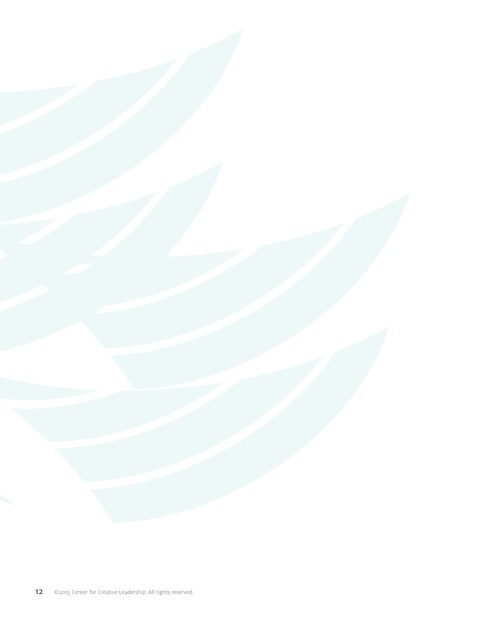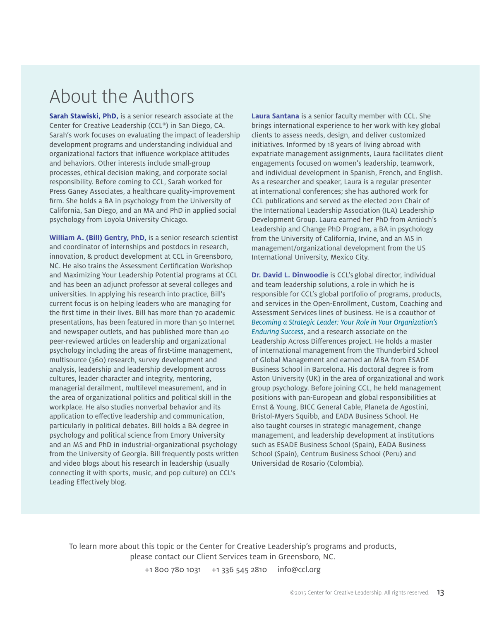### About the Authors

**Sarah Stawiski, PhD,** is a senior research associate at the Center for Creative Leadership (CCL®) in San Diego, CA. Sarah's work focuses on evaluating the impact of leadership development programs and understanding individual and organizational factors that influence workplace attitudes and behaviors. Other interests include small-group processes, ethical decision making, and corporate social responsibility. Before coming to CCL, Sarah worked for Press Ganey Associates, a healthcare quality-improvement firm. She holds a BA in psychology from the University of California, San Diego, and an MA and PhD in applied social psychology from Loyola University Chicago.

**William A. (Bill) Gentry, PhD,** is a senior research scientist and coordinator of internships and postdocs in research, innovation, & product development at CCL in Greensboro, NC. He also trains the Assessment Certification Workshop and Maximizing Your Leadership Potential programs at CCL and has been an adjunct professor at several colleges and universities. In applying his research into practice, Bill's current focus is on helping leaders who are managing for the first time in their lives. Bill has more than 70 academic presentations, has been featured in more than 50 Internet and newspaper outlets, and has published more than 40 peer-reviewed articles on leadership and organizational psychology including the areas of first-time management, multisource (360) research, survey development and analysis, leadership and leadership development across cultures, leader character and integrity, mentoring, managerial derailment, multilevel measurement, and in the area of organizational politics and political skill in the workplace. He also studies nonverbal behavior and its application to effective leadership and communication, particularly in political debates. Bill holds a BA degree in psychology and political science from Emory University and an MS and PhD in industrial-organizational psychology from the University of Georgia. Bill frequently posts written and video blogs about his research in leadership (usually connecting it with sports, music, and pop culture) on CCL's Leading Effectively blog.

**Laura Santana** is a senior faculty member with CCL. She brings international experience to her work with key global clients to assess needs, design, and deliver customized initiatives. Informed by 18 years of living abroad with expatriate management assignments, Laura facilitates client engagements focused on women's leadership, teamwork, and individual development in Spanish, French, and English. As a researcher and speaker, Laura is a regular presenter at international conferences; she has authored work for CCL publications and served as the elected 2011 Chair of the International Leadership Association (ILA) Leadership Development Group. Laura earned her PhD from Antioch's Leadership and Change PhD Program, a BA in psychology from the University of California, Irvine, and an MS in management/organizational development from the US International University, Mexico City.

**Dr. David L. Dinwoodie** is CCL's global director, individual and team leadership solutions, a role in which he is responsible for CCL's global portfolio of programs, products, and services in the Open-Enrollment, Custom, Coaching and Assessment Services lines of business. He is a coauthor of *Becoming a Strategic Leader: Your Role in Your Organization's Enduring Success*, and a research associate on the Leadership Across Differences project. He holds a master of international management from the Thunderbird School of Global Management and earned an MBA from ESADE Business School in Barcelona. His doctoral degree is from Aston University (UK) in the area of organizational and work group psychology. Before joining CCL, he held management positions with pan-European and global responsibilities at Ernst & Young, BICC General Cable, Planeta de Agostini, Bristol-Myers Squibb, and EADA Business School. He also taught courses in strategic management, change management, and leadership development at institutions such as ESADE Business School (Spain), EADA Business School (Spain), Centrum Business School (Peru) and Universidad de Rosario (Colombia).

To learn more about this topic or the Center for Creative Leadership's programs and products, please contact our Client Services team in Greensboro, NC.

+1 800 780 1031 +1 336 545 2810 info@ccl.org